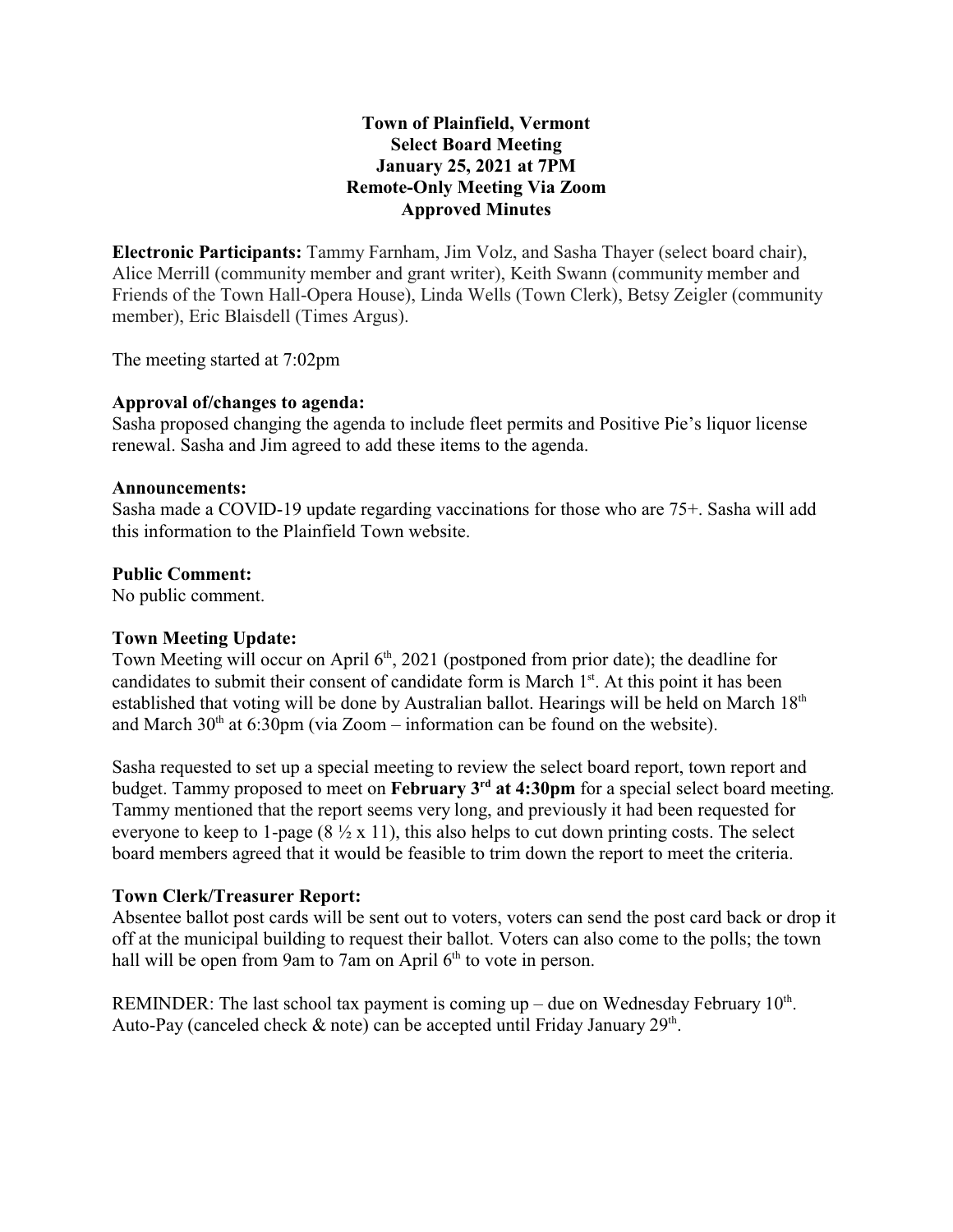# **Town of Plainfield, Vermont Select Board Meeting January 25, 2021 at 7PM Remote-Only Meeting Via Zoom Approved Minutes**

**Electronic Participants:** Tammy Farnham, Jim Volz, and Sasha Thayer (select board chair), Alice Merrill (community member and grant writer), Keith Swann (community member and Friends of the Town Hall-Opera House), Linda Wells (Town Clerk), Betsy Zeigler (community member), Eric Blaisdell (Times Argus).

The meeting started at 7:02pm

# **Approval of/changes to agenda:**

Sasha proposed changing the agenda to include fleet permits and Positive Pie's liquor license renewal. Sasha and Jim agreed to add these items to the agenda.

### **Announcements:**

Sasha made a COVID-19 update regarding vaccinations for those who are 75+. Sasha will add this information to the Plainfield Town website.

# **Public Comment:**

No public comment.

# **Town Meeting Update:**

Town Meeting will occur on April 6<sup>th</sup>, 2021 (postponed from prior date); the deadline for candidates to submit their consent of candidate form is March 1<sup>st</sup>. At this point it has been established that voting will be done by Australian ballot. Hearings will be held on March 18<sup>th</sup> and March  $30<sup>th</sup>$  at 6:30pm (via Zoom – information can be found on the website).

Sasha requested to set up a special meeting to review the select board report, town report and budget. Tammy proposed to meet on **February 3rd at 4:30pm** for a special select board meeting. Tammy mentioned that the report seems very long, and previously it had been requested for everyone to keep to 1-page  $(8 \frac{1}{2} \times 11)$ , this also helps to cut down printing costs. The select board members agreed that it would be feasible to trim down the report to meet the criteria.

# **Town Clerk/Treasurer Report:**

Absentee ballot post cards will be sent out to voters, voters can send the post card back or drop it off at the municipal building to request their ballot. Voters can also come to the polls; the town hall will be open from 9am to 7am on April  $6<sup>th</sup>$  to vote in person.

REMINDER: The last school tax payment is coming up – due on Wednesday February  $10<sup>th</sup>$ . Auto-Pay (canceled check  $\&$  note) can be accepted until Friday January 29<sup>th</sup>.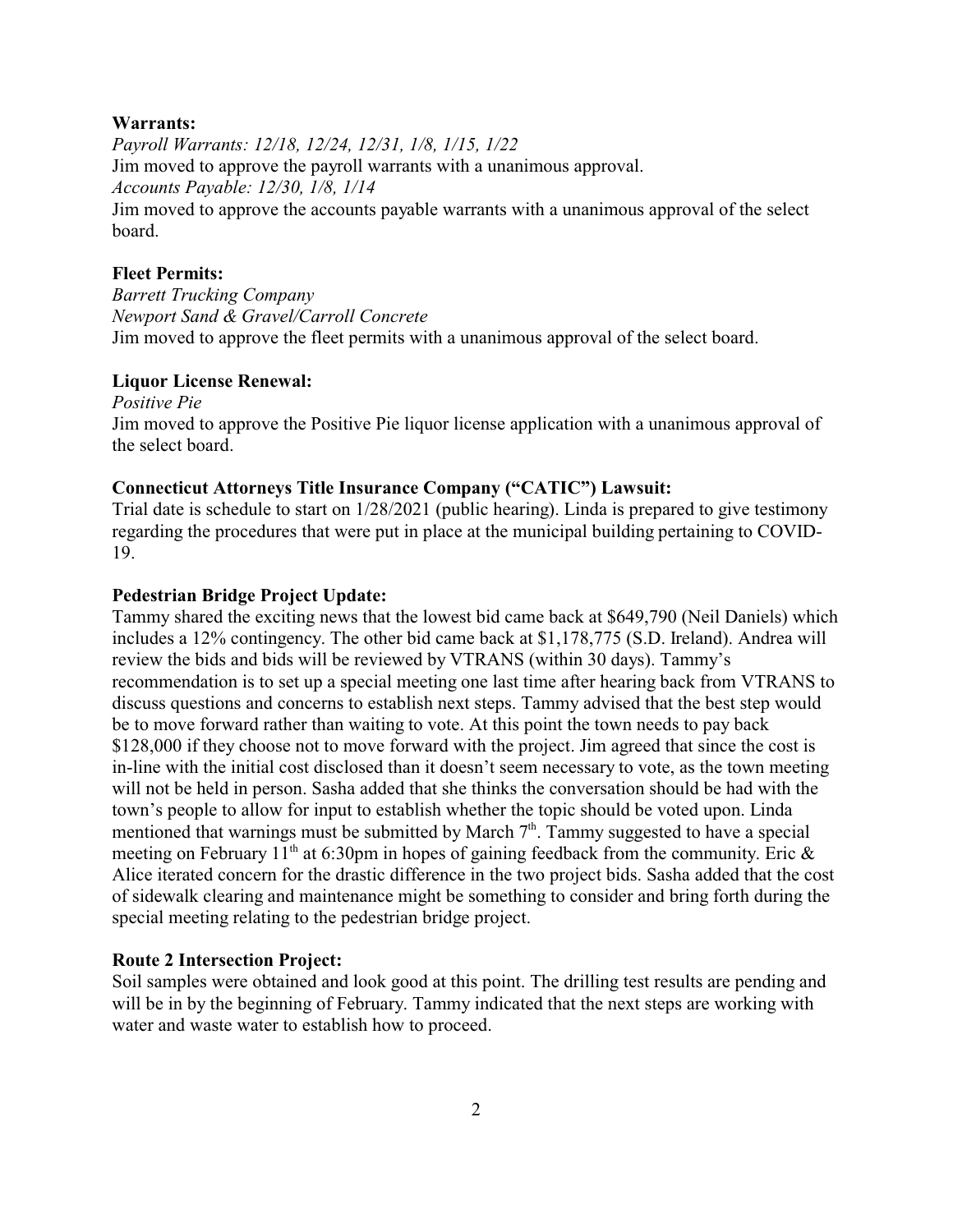## **Warrants:**

*Payroll Warrants: 12/18, 12/24, 12/31, 1/8, 1/15, 1/22* Jim moved to approve the payroll warrants with a unanimous approval. *Accounts Payable: 12/30, 1/8, 1/14* Jim moved to approve the accounts payable warrants with a unanimous approval of the select board.

# **Fleet Permits:**

*Barrett Trucking Company Newport Sand & Gravel/Carroll Concrete* Jim moved to approve the fleet permits with a unanimous approval of the select board.

## **Liquor License Renewal:**

*Positive Pie* Jim moved to approve the Positive Pie liquor license application with a unanimous approval of the select board.

## **Connecticut Attorneys Title Insurance Company ("CATIC") Lawsuit:**

Trial date is schedule to start on 1/28/2021 (public hearing). Linda is prepared to give testimony regarding the procedures that were put in place at the municipal building pertaining to COVID-19.

#### **Pedestrian Bridge Project Update:**

Tammy shared the exciting news that the lowest bid came back at \$649,790 (Neil Daniels) which includes a 12% contingency. The other bid came back at \$1,178,775 (S.D. Ireland). Andrea will review the bids and bids will be reviewed by VTRANS (within 30 days). Tammy's recommendation is to set up a special meeting one last time after hearing back from VTRANS to discuss questions and concerns to establish next steps. Tammy advised that the best step would be to move forward rather than waiting to vote. At this point the town needs to pay back \$128,000 if they choose not to move forward with the project. Jim agreed that since the cost is in-line with the initial cost disclosed than it doesn't seem necessary to vote, as the town meeting will not be held in person. Sasha added that she thinks the conversation should be had with the town's people to allow for input to establish whether the topic should be voted upon. Linda mentioned that warnings must be submitted by March  $7<sup>th</sup>$ . Tammy suggested to have a special meeting on February 11<sup>th</sup> at 6:30pm in hopes of gaining feedback from the community. Eric  $\&$ Alice iterated concern for the drastic difference in the two project bids. Sasha added that the cost of sidewalk clearing and maintenance might be something to consider and bring forth during the special meeting relating to the pedestrian bridge project.

#### **Route 2 Intersection Project:**

Soil samples were obtained and look good at this point. The drilling test results are pending and will be in by the beginning of February. Tammy indicated that the next steps are working with water and waste water to establish how to proceed.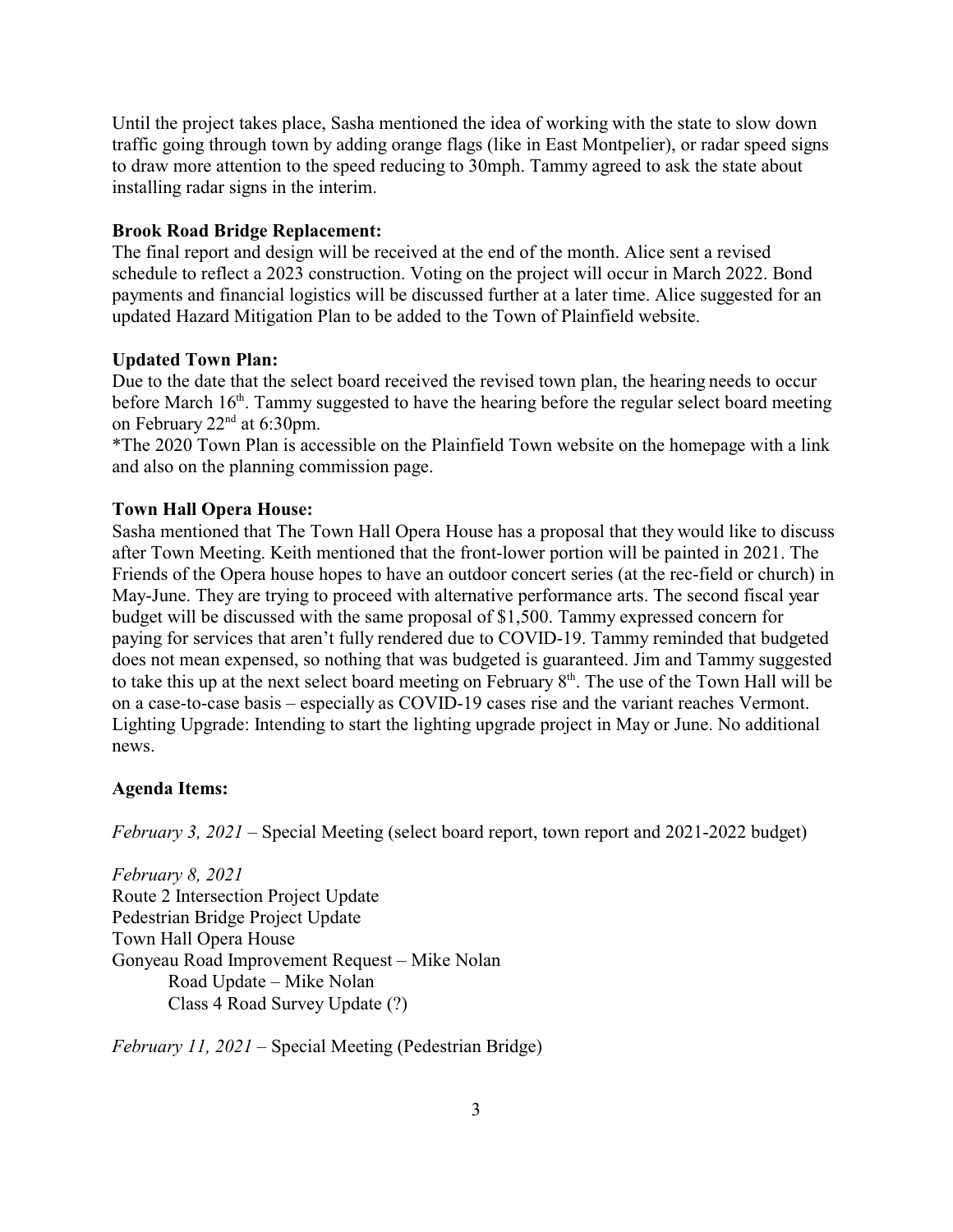Until the project takes place, Sasha mentioned the idea of working with the state to slow down traffic going through town by adding orange flags (like in East Montpelier), or radar speed signs to draw more attention to the speed reducing to 30mph. Tammy agreed to ask the state about installing radar signs in the interim.

## **Brook Road Bridge Replacement:**

The final report and design will be received at the end of the month. Alice sent a revised schedule to reflect a 2023 construction. Voting on the project will occur in March 2022. Bond payments and financial logistics will be discussed further at a later time. Alice suggested for an updated Hazard Mitigation Plan to be added to the Town of Plainfield website.

#### **Updated Town Plan:**

Due to the date that the select board received the revised town plan, the hearing needs to occur before March  $16<sup>th</sup>$ . Tammy suggested to have the hearing before the regular select board meeting on February 22<sup>nd</sup> at 6:30pm.

\*The 2020 Town Plan is accessible on the Plainfield Town website on the homepage with a link and also on the planning commission page.

### **Town Hall Opera House:**

Sasha mentioned that The Town Hall Opera House has a proposal that they would like to discuss after Town Meeting. Keith mentioned that the front-lower portion will be painted in 2021. The Friends of the Opera house hopes to have an outdoor concert series (at the rec-field or church) in May-June. They are trying to proceed with alternative performance arts. The second fiscal year budget will be discussed with the same proposal of \$1,500. Tammy expressed concern for paying for services that aren't fully rendered due to COVID-19. Tammy reminded that budgeted does not mean expensed, so nothing that was budgeted is guaranteed. Jim and Tammy suggested to take this up at the next select board meeting on February  $8<sup>th</sup>$ . The use of the Town Hall will be on a case-to-case basis – especially as COVID-19 cases rise and the variant reaches Vermont. Lighting Upgrade: Intending to start the lighting upgrade project in May or June. No additional news.

#### **Agenda Items:**

*February 3, 2021* – Special Meeting (select board report, town report and 2021-2022 budget)

*February 8, 2021* Route 2 Intersection Project Update Pedestrian Bridge Project Update Town Hall Opera House Gonyeau Road Improvement Request – Mike Nolan Road Update – Mike Nolan Class 4 Road Survey Update (?)

*February 11, 2021* – Special Meeting (Pedestrian Bridge)